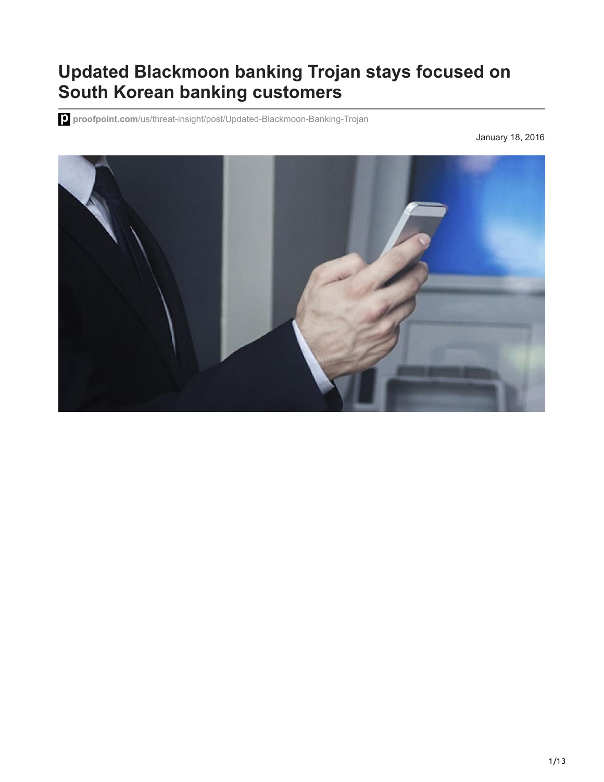# **Updated Blackmoon banking Trojan stays focused on South Korean banking customers**

**proofpoint.com**[/us/threat-insight/post/Updated-Blackmoon-Banking-Trojan](https://www.proofpoint.com/us/threat-insight/post/Updated-Blackmoon-Banking-Trojan)

January 18, 2016

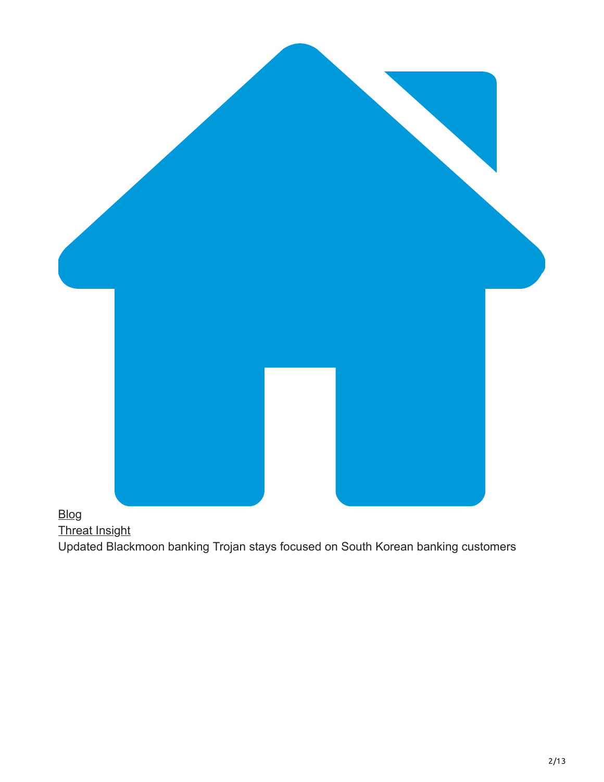

## [Blog](https://www.proofpoint.com/us/blog)

[Threat Insight](https://www.proofpoint.com/us/blog/threat-insight)

Updated Blackmoon banking Trojan stays focused on South Korean banking customers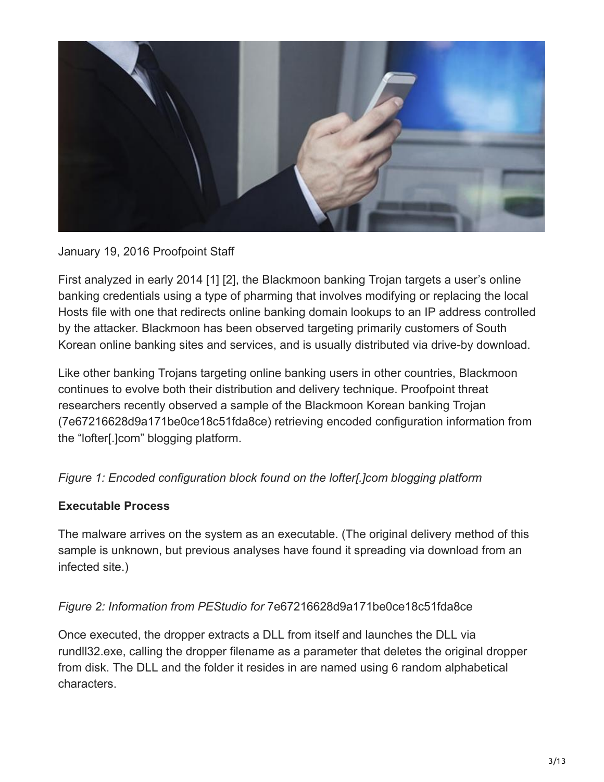

#### January 19, 2016 Proofpoint Staff

First analyzed in early 2014 [1] [2], the Blackmoon banking Trojan targets a user's online banking credentials using a type of pharming that involves modifying or replacing the local Hosts file with one that redirects online banking domain lookups to an IP address controlled by the attacker. Blackmoon has been observed targeting primarily customers of South Korean online banking sites and services, and is usually distributed via drive-by download.

Like other banking Trojans targeting online banking users in other countries, Blackmoon continues to evolve both their distribution and delivery technique. Proofpoint threat researchers recently observed a sample of the Blackmoon Korean banking Trojan (7e67216628d9a171be0ce18c51fda8ce) retrieving encoded configuration information from the "lofter[.]com" blogging platform.

## *Figure 1: Encoded configuration block found on the lofter[.]com blogging platform*

## **Executable Process**

The malware arrives on the system as an executable. (The original delivery method of this sample is unknown, but previous analyses have found it spreading via download from an infected site.)

## *Figure 2: Information from PEStudio for* 7e67216628d9a171be0ce18c51fda8ce

Once executed, the dropper extracts a DLL from itself and launches the DLL via rundll32.exe, calling the dropper filename as a parameter that deletes the original dropper from disk. The DLL and the folder it resides in are named using 6 random alphabetical characters.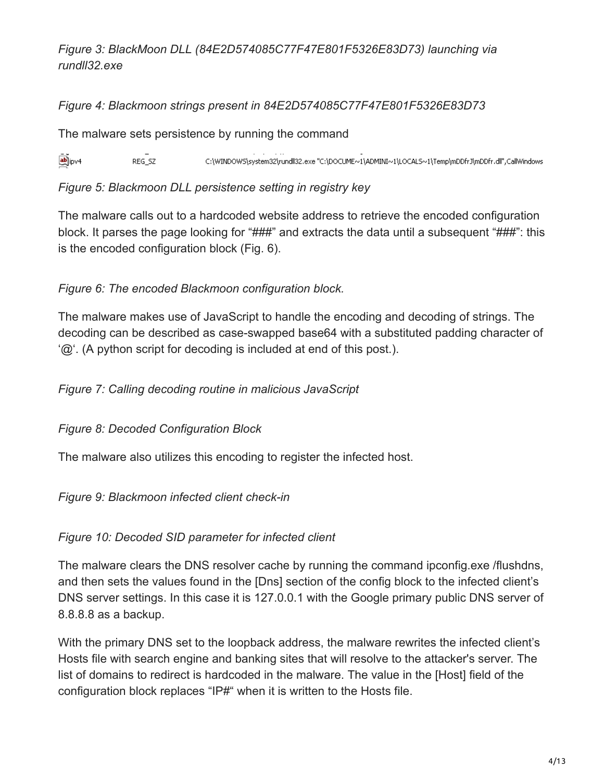*Figure 3: BlackMoon DLL (84E2D574085C77F47E801F5326E83D73) launching via rundll32.exe*

#### *Figure 4: Blackmoon strings present in 84E2D574085C77F47E801F5326E83D73*

The malware sets persistence by running the command

abj<sub>ipv4</sub>  $REG$  SZ C:\WINDOWS\system32\rundll32.exe "C:\DOCUME~1\ADMINI~1\LOCALS~1\Temp\mDDfrJ\mDDfr.dll",CallWindows

*Figure 5: Blackmoon DLL persistence setting in registry key*

The malware calls out to a hardcoded website address to retrieve the encoded configuration block. It parses the page looking for "###" and extracts the data until a subsequent "###": this is the encoded configuration block (Fig. 6).

## *Figure 6: The encoded Blackmoon configuration block.*

The malware makes use of JavaScript to handle the encoding and decoding of strings. The decoding can be described as case-swapped base64 with a substituted padding character of '@'. (A python script for decoding is included at end of this post.).

*Figure 7: Calling decoding routine in malicious JavaScript*

*Figure 8: Decoded Configuration Block*

The malware also utilizes this encoding to register the infected host.

*Figure 9: Blackmoon infected client check-in*

*Figure 10: Decoded SID parameter for infected client*

The malware clears the DNS resolver cache by running the command ipconfig.exe /flushdns, and then sets the values found in the [Dns] section of the config block to the infected client's DNS server settings. In this case it is 127.0.0.1 with the Google primary public DNS server of 8.8.8.8 as a backup.

With the primary DNS set to the loopback address, the malware rewrites the infected client's Hosts file with search engine and banking sites that will resolve to the attacker's server. The list of domains to redirect is hardcoded in the malware. The value in the [Host] field of the configuration block replaces "IP#" when it is written to the Hosts file.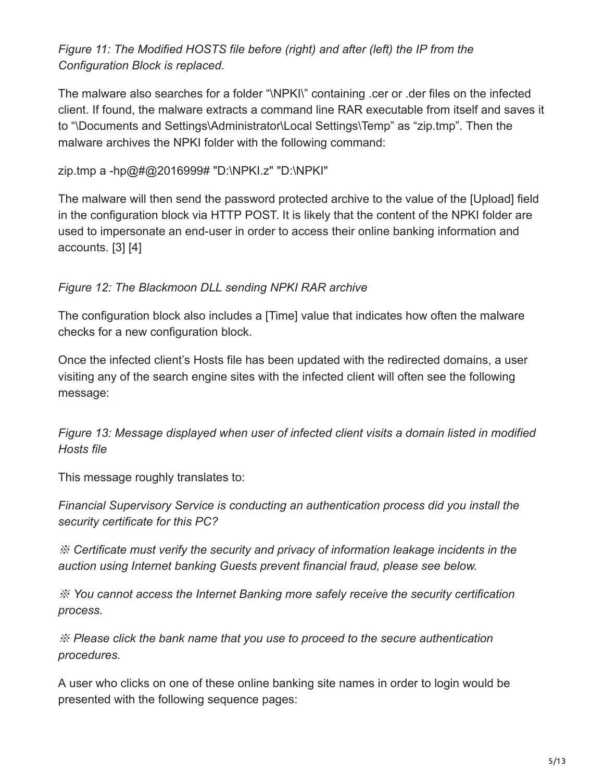## *Figure 11: The Modified HOSTS file before (right) and after (left) the IP from the Configuration Block is replaced.*

The malware also searches for a folder "\NPKI\" containing .cer or .der files on the infected client. If found, the malware extracts a command line RAR executable from itself and saves it to "\Documents and Settings\Administrator\Local Settings\Temp" as "zip.tmp". Then the malware archives the NPKI folder with the following command:

#### zip.tmp a -hp@#@2016999# "D:\NPKI.z" "D:\NPKI"

The malware will then send the password protected archive to the value of the [Upload] field in the configuration block via HTTP POST. It is likely that the content of the NPKI folder are used to impersonate an end-user in order to access their online banking information and accounts. [3] [4]

## *Figure 12: The Blackmoon DLL sending NPKI RAR archive*

The configuration block also includes a [Time] value that indicates how often the malware checks for a new configuration block.

Once the infected client's Hosts file has been updated with the redirected domains, a user visiting any of the search engine sites with the infected client will often see the following message:

*Figure 13: Message displayed when user of infected client visits a domain listed in modified Hosts file*

This message roughly translates to:

*Financial Supervisory Service is conducting an authentication process did you install the security certificate for this PC?*

※ *Certificate must verify the security and privacy of information leakage incidents in the auction using Internet banking Guests prevent financial fraud, please see below.*

※ *You cannot access the Internet Banking more safely receive the security certification process.*

※ *Please click the bank name that you use to proceed to the secure authentication procedures.*

A user who clicks on one of these online banking site names in order to login would be presented with the following sequence pages: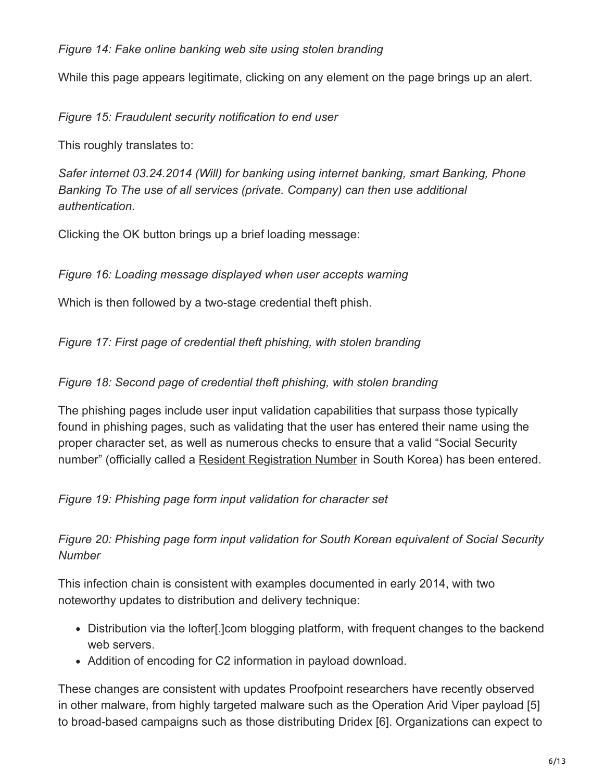#### *Figure 14: Fake online banking web site using stolen branding*

While this page appears legitimate, clicking on any element on the page brings up an alert.

*Figure 15: Fraudulent security notification to end user*

This roughly translates to:

*Safer internet 03.24.2014 (Will) for banking using internet banking, smart Banking, Phone Banking To The use of all services (private. Company) can then use additional authentication.*

Clicking the OK button brings up a brief loading message:

*Figure 16: Loading message displayed when user accepts warning*

Which is then followed by a two-stage credential theft phish.

*Figure 17: First page of credential theft phishing, with stolen branding*

#### *Figure 18: Second page of credential theft phishing, with stolen branding*

The phishing pages include user input validation capabilities that surpass those typically found in phishing pages, such as validating that the user has entered their name using the proper character set, as well as numerous checks to ensure that a valid "Social Security number" (officially called a [Resident Registration Number](https://en.wikipedia.org/wiki/Resident_registration_number) in South Korea) has been entered.

## *Figure 19: Phishing page form input validation for character set*

## *Figure 20: Phishing page form input validation for South Korean equivalent of Social Security Number*

This infection chain is consistent with examples documented in early 2014, with two noteworthy updates to distribution and delivery technique:

- Distribution via the lofter[.]com blogging platform, with frequent changes to the backend web servers.
- Addition of encoding for C2 information in payload download.

These changes are consistent with updates Proofpoint researchers have recently observed in other malware, from highly targeted malware such as the Operation Arid Viper payload [5] to broad-based campaigns such as those distributing Dridex [6]. Organizations can expect to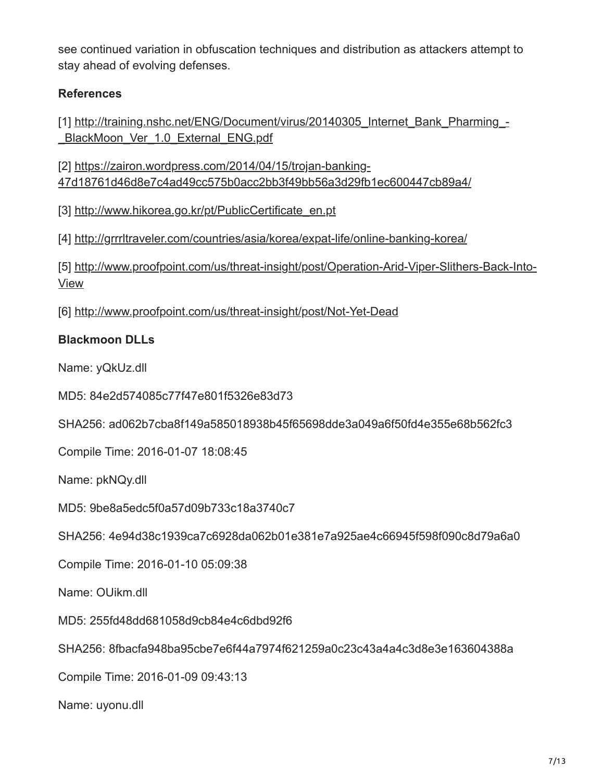see continued variation in obfuscation techniques and distribution as attackers attempt to stay ahead of evolving defenses.

## **References**

[\[1\] http://training.nshc.net/ENG/Document/virus/20140305\\_Internet\\_Bank\\_Pharming\\_-](http://training.nshc.net/ENG/Document/virus/20140305_Internet_Bank_Pharming_-_BlackMoon_Ver_1.0_External_ENG.pdf) \_BlackMoon\_Ver\_1.0\_External\_ENG.pdf

[2] https://zairon.wordpress.com/2014/04/15/trojan-banking-[47d18761d46d8e7c4ad49cc575b0acc2bb3f49bb56a3d29fb1ec600447cb89a4/](https://zairon.wordpress.com/2014/04/15/trojan-banking-47d18761d46d8e7c4ad49cc575b0acc2bb3f49bb56a3d29fb1ec600447cb89a4/)

[3] [http://www.hikorea.go.kr/pt/PublicCertificate\\_en.pt](http://www.hikorea.go.kr/pt/PublicCertificate_en.pt)

[4] <http://grrrltraveler.com/countries/asia/korea/expat-life/online-banking-korea/>

[\[5\] http://www.proofpoint.com/us/threat-insight/post/Operation-Arid-Viper-Slithers-Back-Into-](http://www.proofpoint.com/us/threat-insight/post/Operation-Arid-Viper-Slithers-Back-Into-View)View

[6] <http://www.proofpoint.com/us/threat-insight/post/Not-Yet-Dead>

## **Blackmoon DLLs**

Name: yQkUz.dll

MD5: 84e2d574085c77f47e801f5326e83d73

SHA256: ad062b7cba8f149a585018938b45f65698dde3a049a6f50fd4e355e68b562fc3

Compile Time: 2016-01-07 18:08:45

Name: pkNQy.dll

MD5: 9be8a5edc5f0a57d09b733c18a3740c7

SHA256: 4e94d38c1939ca7c6928da062b01e381e7a925ae4c66945f598f090c8d79a6a0

Compile Time: 2016-01-10 05:09:38

Name: OUikm.dll

MD5: 255fd48dd681058d9cb84e4c6dbd92f6

SHA256: 8fbacfa948ba95cbe7e6f44a7974f621259a0c23c43a4a4c3d8e3e163604388a

Compile Time: 2016-01-09 09:43:13

Name: uyonu.dll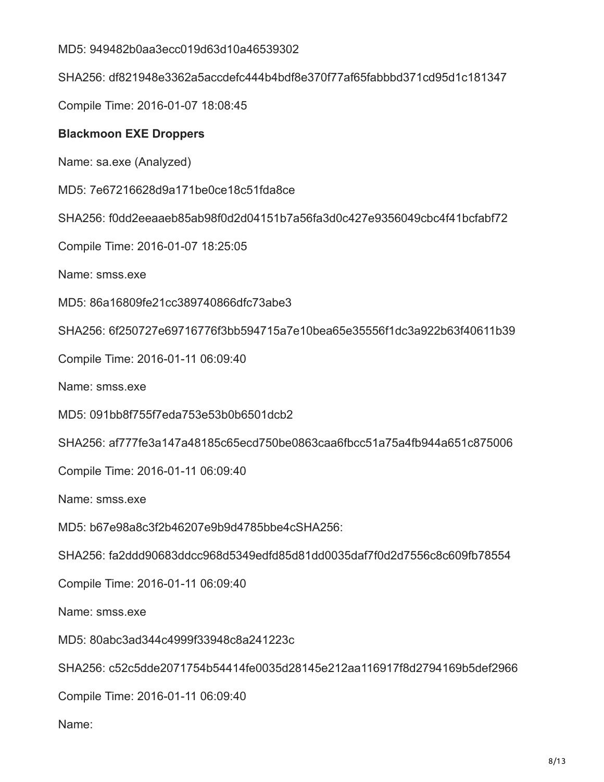MD5: 949482b0aa3ecc019d63d10a46539302

SHA256: df821948e3362a5accdefc444b4bdf8e370f77af65fabbbd371cd95d1c181347

Compile Time: 2016-01-07 18:08:45

#### **Blackmoon EXE Droppers**

Name: sa.exe (Analyzed)

MD5: 7e67216628d9a171be0ce18c51fda8ce

SHA256: f0dd2eeaaeb85ab98f0d2d04151b7a56fa3d0c427e9356049cbc4f41bcfabf72

Compile Time: 2016-01-07 18:25:05

Name: smss.exe

MD5: 86a16809fe21cc389740866dfc73abe3

SHA256: 6f250727e69716776f3bb594715a7e10bea65e35556f1dc3a922b63f40611b39

Compile Time: 2016-01-11 06:09:40

Name: smss.exe

MD5: 091bb8f755f7eda753e53b0b6501dcb2

SHA256: af777fe3a147a48185c65ecd750be0863caa6fbcc51a75a4fb944a651c875006

Compile Time: 2016-01-11 06:09:40

Name: smss.exe

MD5: b67e98a8c3f2b46207e9b9d4785bbe4cSHA256:

SHA256: fa2ddd90683ddcc968d5349edfd85d81dd0035daf7f0d2d7556c8c609fb78554

Compile Time: 2016-01-11 06:09:40

Name: smss.exe

MD5: 80abc3ad344c4999f33948c8a241223c

SHA256: c52c5dde2071754b54414fe0035d28145e212aa116917f8d2794169b5def2966

Compile Time: 2016-01-11 06:09:40

Name: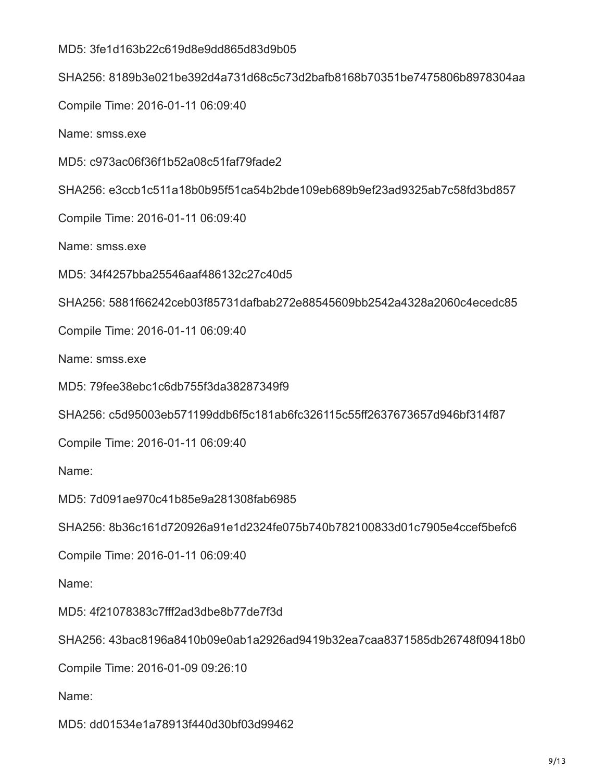MD5: 3fe1d163b22c619d8e9dd865d83d9b05 SHA256: 8189b3e021be392d4a731d68c5c73d2bafb8168b70351be7475806b8978304aa Compile Time: 2016-01-11 06:09:40 Name: smss.exe MD5: c973ac06f36f1b52a08c51faf79fade2 SHA256: e3ccb1c511a18b0b95f51ca54b2bde109eb689b9ef23ad9325ab7c58fd3bd857 Compile Time: 2016-01-11 06:09:40 Name: smss.exe MD5: 34f4257bba25546aaf486132c27c40d5 SHA256: 5881f66242ceb03f85731dafbab272e88545609bb2542a4328a2060c4ecedc85 Compile Time: 2016-01-11 06:09:40 Name: smss.exe MD5: 79fee38ebc1c6db755f3da38287349f9 SHA256: c5d95003eb571199ddb6f5c181ab6fc326115c55ff2637673657d946bf314f87 Compile Time: 2016-01-11 06:09:40 Name: MD5: 7d091ae970c41b85e9a281308fab6985 SHA256: 8b36c161d720926a91e1d2324fe075b740b782100833d01c7905e4ccef5befc6 Compile Time: 2016-01-11 06:09:40 Name: MD5: 4f21078383c7fff2ad3dbe8b77de7f3d SHA256: 43bac8196a8410b09e0ab1a2926ad9419b32ea7caa8371585db26748f09418b0 Compile Time: 2016-01-09 09:26:10 Name:

MD5: dd01534e1a78913f440d30bf03d99462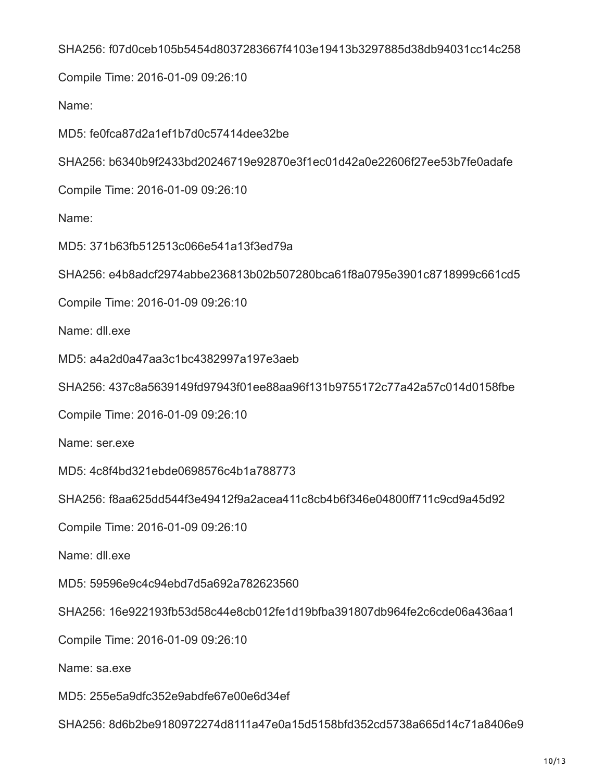#### SHA256: f07d0ceb105b5454d8037283667f4103e19413b3297885d38db94031cc14c258

Compile Time: 2016-01-09 09:26:10

Name:

MD5: fe0fca87d2a1ef1b7d0c57414dee32be

SHA256: b6340b9f2433bd20246719e92870e3f1ec01d42a0e22606f27ee53b7fe0adafe

Compile Time: 2016-01-09 09:26:10

Name:

MD5: 371b63fb512513c066e541a13f3ed79a

SHA256: e4b8adcf2974abbe236813b02b507280bca61f8a0795e3901c8718999c661cd5

Compile Time: 2016-01-09 09:26:10

Name: dll.exe

MD5: a4a2d0a47aa3c1bc4382997a197e3aeb

SHA256: 437c8a5639149fd97943f01ee88aa96f131b9755172c77a42a57c014d0158fbe

Compile Time: 2016-01-09 09:26:10

Name: ser.exe

MD5: 4c8f4bd321ebde0698576c4b1a788773

SHA256: f8aa625dd544f3e49412f9a2acea411c8cb4b6f346e04800ff711c9cd9a45d92

Compile Time: 2016-01-09 09:26:10

Name: dll.exe

MD5: 59596e9c4c94ebd7d5a692a782623560

SHA256: 16e922193fb53d58c44e8cb012fe1d19bfba391807db964fe2c6cde06a436aa1

Compile Time: 2016-01-09 09:26:10

Name: sa.exe

MD5: 255e5a9dfc352e9abdfe67e00e6d34ef

SHA256: 8d6b2be9180972274d8111a47e0a15d5158bfd352cd5738a665d14c71a8406e9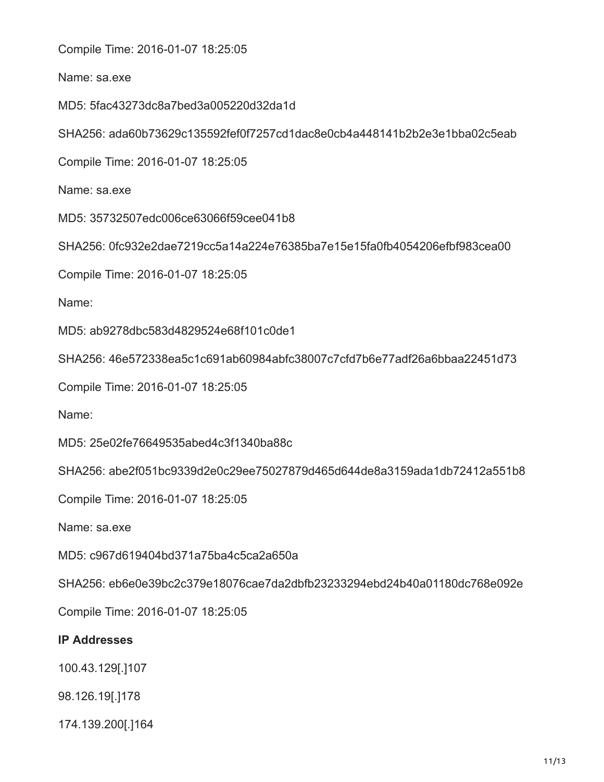Compile Time: 2016-01-07 18:25:05

Name: sa.exe

MD5: 5fac43273dc8a7bed3a005220d32da1d

SHA256: ada60b73629c135592fef0f7257cd1dac8e0cb4a448141b2b2e3e1bba02c5eab

Compile Time: 2016-01-07 18:25:05

Name: sa.exe

MD5: 35732507edc006ce63066f59cee041b8

SHA256: 0fc932e2dae7219cc5a14a224e76385ba7e15e15fa0fb4054206efbf983cea00

Compile Time: 2016-01-07 18:25:05

Name:

MD5: ab9278dbc583d4829524e68f101c0de1

SHA256: 46e572338ea5c1c691ab60984abfc38007c7cfd7b6e77adf26a6bbaa22451d73

Compile Time: 2016-01-07 18:25:05

Name:

MD5: 25e02fe76649535abed4c3f1340ba88c

SHA256: abe2f051bc9339d2e0c29ee75027879d465d644de8a3159ada1db72412a551b8

Compile Time: 2016-01-07 18:25:05

Name: sa.exe

MD5: c967d619404bd371a75ba4c5ca2a650a

SHA256: eb6e0e39bc2c379e18076cae7da2dbfb23233294ebd24b40a01180dc768e092e

Compile Time: 2016-01-07 18:25:05

#### **IP Addresses**

100.43.129[.]107

98.126.19[.]178

174.139.200[.]164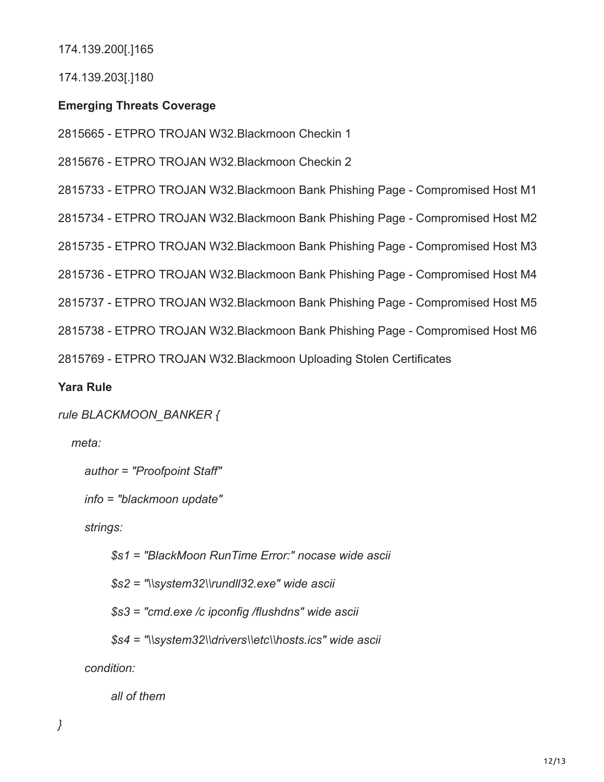174.139.200[.]165

174.139.203[.]180

## **Emerging Threats Coverage**

2815665 - ETPRO TROJAN W32.Blackmoon Checkin 1

2815676 - ETPRO TROJAN W32.Blackmoon Checkin 2

2815733 - ETPRO TROJAN W32.Blackmoon Bank Phishing Page - Compromised Host M1

2815734 - ETPRO TROJAN W32.Blackmoon Bank Phishing Page - Compromised Host M2

2815735 - ETPRO TROJAN W32.Blackmoon Bank Phishing Page - Compromised Host M3

2815736 - ETPRO TROJAN W32.Blackmoon Bank Phishing Page - Compromised Host M4

2815737 - ETPRO TROJAN W32.Blackmoon Bank Phishing Page - Compromised Host M5

2815738 - ETPRO TROJAN W32.Blackmoon Bank Phishing Page - Compromised Host M6

2815769 - ETPRO TROJAN W32.Blackmoon Uploading Stolen Certificates

## **Yara Rule**

```
rule BLACKMOON_BANKER {
```
 *meta:*

 *author = "Proofpoint Staff"*

 *info = "blackmoon update"*

 *strings:*

 *\$s1 = "BlackMoon RunTime Error:" nocase wide ascii*

 *\$s2 = "\\system32\\rundll32.exe" wide ascii*

 *\$s3 = "cmd.exe /c ipconfig /flushdns" wide ascii*

 *\$s4 = "\\system32\\drivers\\etc\\hosts.ics" wide ascii*

 *condition:*

 *all of them*